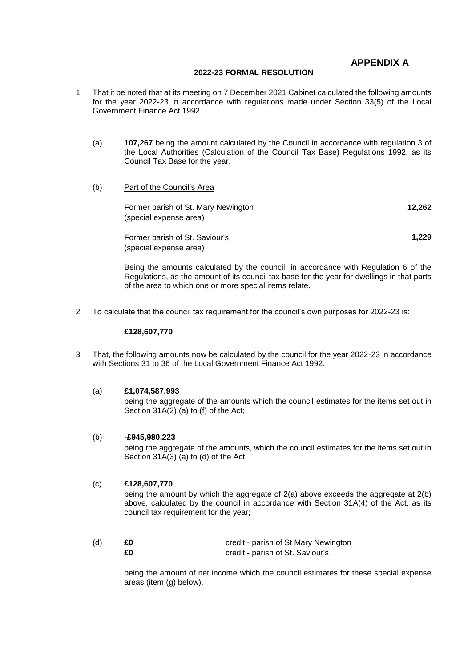# **APPENDIX A**

### **2022-23 FORMAL RESOLUTION**

- 1 That it be noted that at its meeting on 7 December 2021 Cabinet calculated the following amounts for the year 2022-23 in accordance with regulations made under Section 33(5) of the Local Government Finance Act 1992.
	- (a) **107,267** being the amount calculated by the Council in accordance with regulation 3 of the Local Authorities (Calculation of the Council Tax Base) Regulations 1992, as its Council Tax Base for the year.
	- (b) Part of the Council's Area

| Former parish of St. Mary Newington | 12.262 |
|-------------------------------------|--------|
| (special expense area)              |        |

Former parish of St. Saviour's **1,229** (special expense area)

Being the amounts calculated by the council, in accordance with Regulation 6 of the Regulations, as the amount of its council tax base for the year for dwellings in that parts of the area to which one or more special items relate.

2 To calculate that the council tax requirement for the council's own purposes for 2022-23 is:

#### **£128,607,770**

3 That, the following amounts now be calculated by the council for the year 2022-23 in accordance with Sections 31 to 36 of the Local Government Finance Act 1992.

#### (a) **£1,074,587,993**

being the aggregate of the amounts which the council estimates for the items set out in Section 31A(2) (a) to (f) of the Act;

#### (b) **-£945,980,223**

being the aggregate of the amounts, which the council estimates for the items set out in Section 31A(3) (a) to (d) of the Act;

#### (c) **£128,607,770**

being the amount by which the aggregate of 2(a) above exceeds the aggregate at 2(b) above, calculated by the council in accordance with Section 31A(4) of the Act, as its council tax requirement for the year;

| (d) | £Ο | credit - parish of St Mary Newington |
|-----|----|--------------------------------------|
|     | £0 | credit - parish of St. Saviour's     |

being the amount of net income which the council estimates for these special expense areas (item (g) below).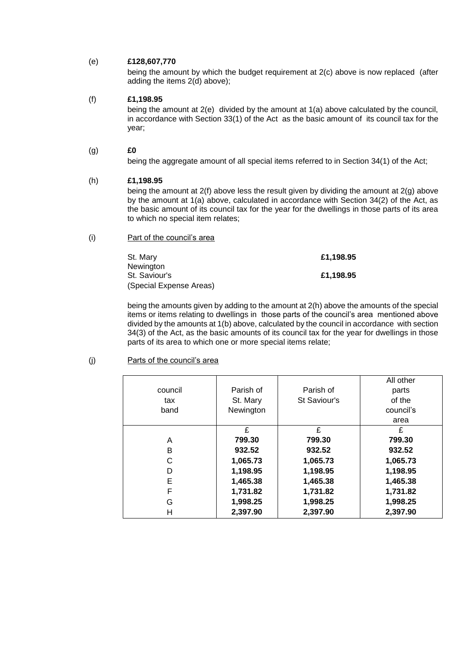## (e) **£128,607,770**

being the amount by which the budget requirement at 2(c) above is now replaced (after adding the items 2(d) above);

# (f) **£1,198.95**

being the amount at 2(e) divided by the amount at 1(a) above calculated by the council, in accordance with Section 33(1) of the Act as the basic amount of its council tax for the year;

## (g) **£0**

being the aggregate amount of all special items referred to in Section 34(1) of the Act;

## (h) **£1,198.95**

being the amount at 2(f) above less the result given by dividing the amount at 2(g) above by the amount at 1(a) above, calculated in accordance with Section 34(2) of the Act, as the basic amount of its council tax for the year for the dwellings in those parts of its area to which no special item relates;

(i) Part of the council's area

St. Mary **Newington £1,198.95** St. Saviour's **£1,198.95** (Special Expense Areas)

being the amounts given by adding to the amount at 2(h) above the amounts of the special items or items relating to dwellings in those parts of the council's area mentioned above divided by the amounts at 1(b) above, calculated by the council in accordance with section 34(3) of the Act, as the basic amounts of its council tax for the year for dwellings in those parts of its area to which one or more special items relate;

### (j) Parts of the council's area

|         |           |              | All other |
|---------|-----------|--------------|-----------|
| council | Parish of | Parish of    | parts     |
| tax     | St. Mary  | St Saviour's | of the    |
| band    | Newington |              | council's |
|         |           |              | area      |
|         | £         | £            | £         |
| A       | 799.30    | 799.30       | 799.30    |
| B       | 932.52    | 932.52       | 932.52    |
| C       | 1,065.73  | 1,065.73     | 1,065.73  |
| D       | 1,198.95  | 1,198.95     | 1,198.95  |
| Е       | 1,465.38  | 1,465.38     | 1,465.38  |
| F       | 1,731.82  | 1,731.82     | 1,731.82  |
| G       | 1,998.25  | 1,998.25     | 1,998.25  |
| н       | 2,397.90  | 2,397.90     | 2,397.90  |